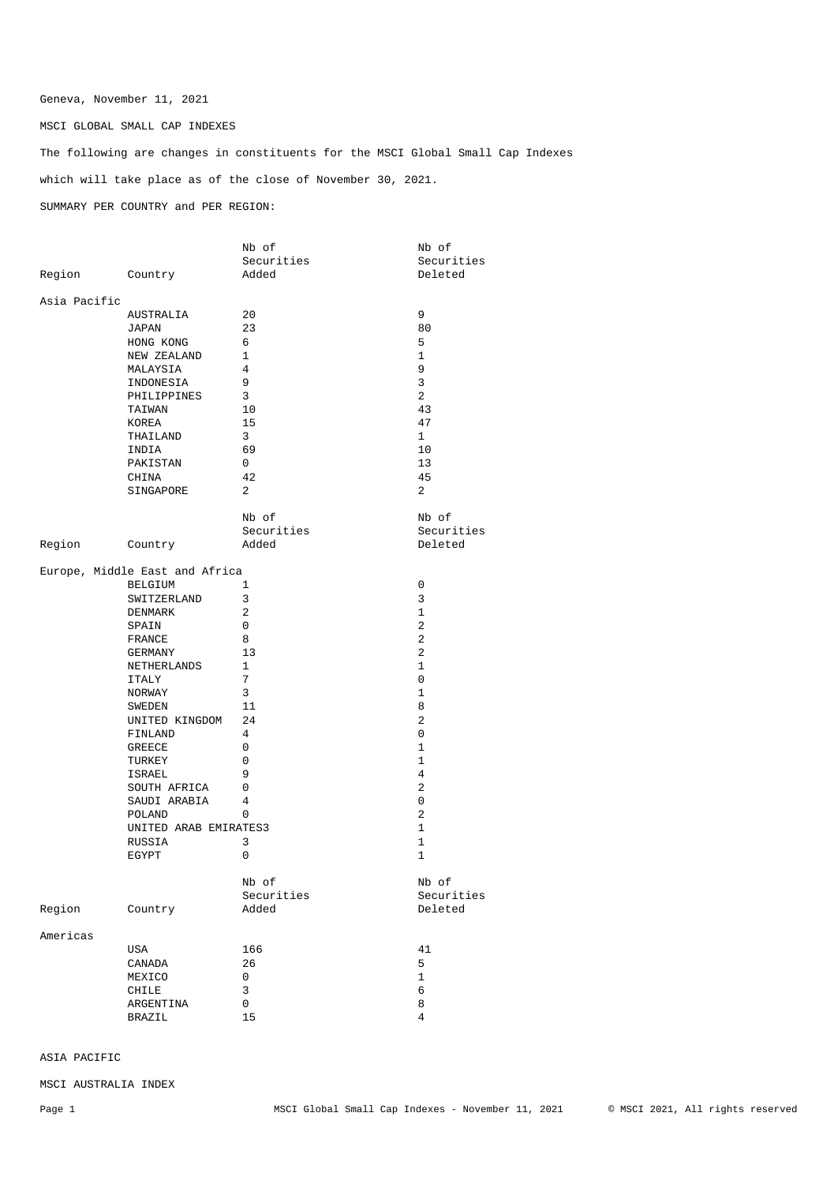## Geneva, November 11, 2021

MSCI GLOBAL SMALL CAP INDEXES

The following are changes in constituents for the MSCI Global Small Cap Indexes which will take place as of the close of November 30, 2021. SUMMARY PER COUNTRY and PER REGION:

|                |                                | Nb of          | Nb of               |
|----------------|--------------------------------|----------------|---------------------|
|                |                                | Securities     | Securities          |
| Region Country |                                | Added          | Deleted             |
| Asia Pacific   |                                |                |                     |
|                | AUSTRALIA                      | 20             | 9                   |
|                | JAPAN                          | 23             | 80                  |
|                | HONG KONG                      | 6              | 5                   |
|                | NEW ZEALAND                    | 1              | $\mathbf{1}$        |
|                | MALAYSIA                       | $\overline{4}$ | 9                   |
|                | INDONESIA                      | 9              | 3                   |
|                | PHILIPPINES                    | 3              | 2                   |
|                |                                |                |                     |
|                | TAIWAN                         | 10             | 43                  |
|                | KOREA                          | 15             | 47                  |
|                | THAILAND                       | 3              | $\mathbf{1}$        |
|                | INDIA                          | 69             | 10                  |
|                | PAKISTAN                       | $\mathbf{0}$   | 13                  |
|                | CHINA                          | 42             | 45                  |
|                | SINGAPORE                      | 2              | 2                   |
|                |                                | Nb of          | Nb of               |
|                |                                | Securities     | Securities          |
| Region Country |                                | Added          | Deleted             |
|                |                                |                |                     |
|                | Europe, Middle East and Africa |                |                     |
|                | BELGIUM                        | 1              | 0                   |
|                | SWITZERLAND                    | 3              | 3                   |
|                | DENMARK                        | 2              | 1                   |
|                | SPAIN                          | 0              | 2                   |
|                | FRANCE                         | 8              | 2                   |
|                | GERMANY                        | 13             | 2                   |
|                | NETHERLANDS                    | 1              | 1                   |
|                | ITALY                          | 7              | 0                   |
|                | NORWAY                         | 3              | 1                   |
|                |                                | 11             | 8                   |
|                | SWEDEN                         |                |                     |
|                | UNITED KINGDOM 24              |                | 2                   |
|                | FINLAND                        | 4              | 0                   |
|                | GREECE                         | 0              | 1                   |
|                | TURKEY                         | 0              | 1                   |
|                | ISRAEL                         | 9              | 4                   |
|                | SOUTH AFRICA                   | $\overline{0}$ | 2                   |
|                | SAUDI ARABIA                   | 4              | 0                   |
|                | POLAND                         | 0              | 2                   |
|                | UNITED ARAB EMIRATES3          |                | 1                   |
|                | RUSSIA                         | 3              | $\mathbf{1}$        |
|                | EGYPT                          | 0              | 1                   |
|                |                                |                |                     |
|                |                                | Nb of          | Nb of<br>Securities |
|                |                                | Securities     |                     |
| Region         | Country                        | Added          | Deleted             |
| Americas       |                                |                |                     |
|                | USA                            | 166            | 41                  |
|                | CANADA                         | 26             | 5                   |
|                | MEXICO                         | 0              | $\mathbf{1}$        |
|                | CHILE                          | 3              | 6                   |
|                | ARGENTINA                      | 0              | 8                   |
|                |                                |                |                     |
|                | BRAZIL                         | $15\,$         | $\overline{4}$      |

ASIA PACIFIC

MSCI AUSTRALIA INDEX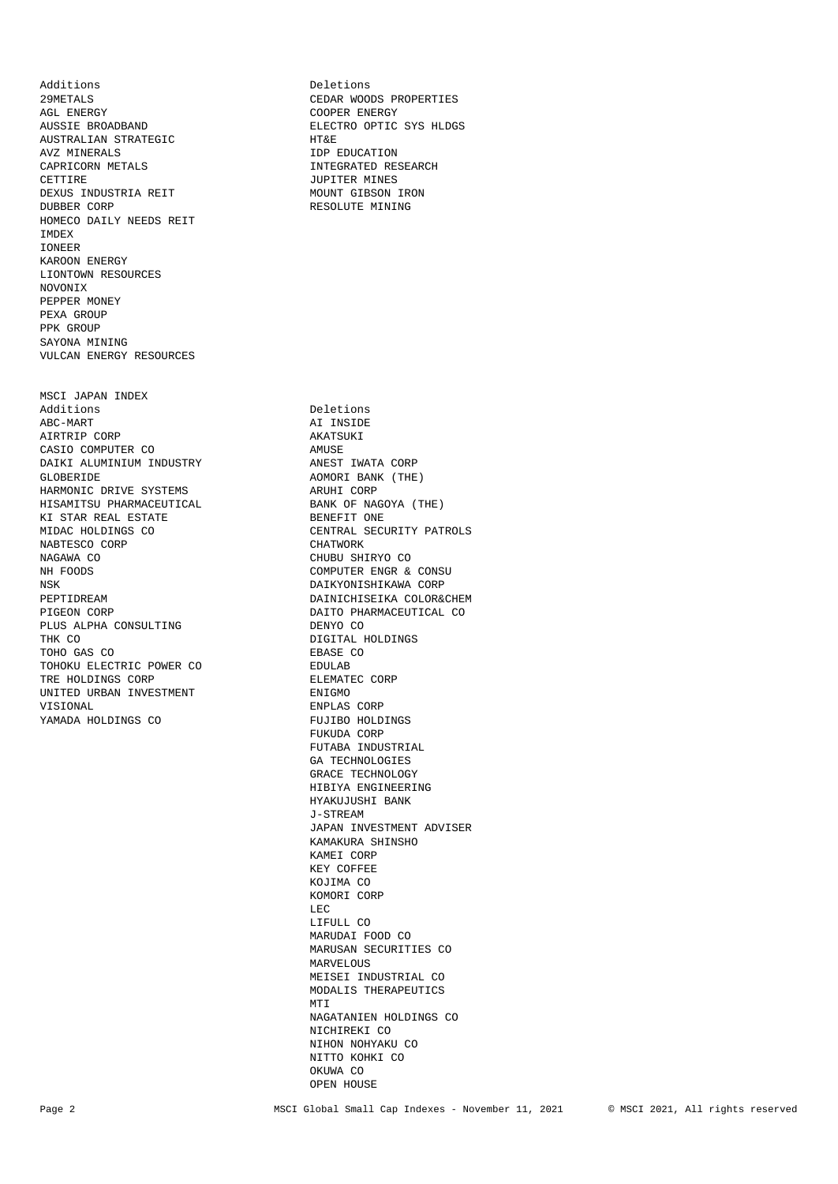AUSTRALIAN STRATEGIC **HT&E** AVZ MINERALS IDP EDUCATION CAPRICORN METALS<br>
CETTIBE DEXUS INDUSTRIA REIT DUBBER CORP **RESOLUTE MINING** HOMECO DAILY NEEDS REIT IMDEX IONEER KAROON ENERGY LIONTOWN RESOURCES NOVONIX PEPPER MONEY PEXA GROUP PPK GROUP SAYONA MINING VULCAN ENERGY RESOURCES MSCI JAPAN INDEX Additions Deletions Deletions<br>ABC-MART AI INSIDE AIRTRIP CORP<br>
CASIO COMPUTER CO<br>
AMUSE CASIO COMPUTER CO<br>
DAIKI ALUMINIUM INDUSTRY ANEST IWATA CORP DAIKI ALUMINIUM INDUSTRY GLOBERIDE AOMORI BANK (THE) HARMONIC DRIVE SYSTEMS HISAMITSU PHARMACEUTICAL BANK OF NAGOYA (THE)<br>KI STAR REAL ESTATE BANK BENEFIT ONE KI STAR REAL ESTATE<br>MIDAC HOLDINGS CO NABTESCO CORP NAGAWA CO CHUBU SHIRYO CO NH FOODS COMPUTER ENGR & CONSU PEPTIDREAM DAINICHISEIKA COLOR&CHEM PIGEON CORP DAINICHISTICAL CO PLUS ALPHA CONSULTING<br>THK CO TOHO GAS CO TOHOKU ELECTRIC POWER CO EDULAB TRE HOLDINGS CORP UNITED URBAN INVESTMENT FRIGMO VISIONAL ENPLAS CORP YAMADA HOLDINGS CO FUJIBO HOLDINGS

Additions Deletions Deletions Deletions Deletions Deletions Deletions Deletions Deletions Deletions Deletions D 29METALS CEDAR WOODS PROPERTIES AGL ENERGY COOPER ENERGY ELECTRO OPTIC SYS HLDGS JUPITER MINES<br>MOUNT GIBSON IRON

AI INSIDE

CENTRAL SECURITY PATROLS<br>CHATWORK DAIKYONISHIKAWA CORP DAITO PHARMACEUTICAL CO<br>DENYO CO DIGITAL HOLDINGS<br>EBASE CO FUKUDA CORP FUTABA INDUSTRIAL GA TECHNOLOGIES GRACE TECHNOLOGY HIBIYA ENGINEERING HYAKUJUSHI BANK J-STREAM JAPAN INVESTMENT ADVISER KAMAKURA SHINSHO KAMEI CORP KEY COFFEE KOJIMA CO KOMORI CORP **LECTRIC CONTROL**  LIFULL CO MARUDAI FOOD CO MARUSAN SECURITIES CO MARVELOUS MEISEI INDUSTRIAL CO MODALIS THERAPEUTICS MTI NAGATANIEN HOLDINGS CO NICHIREKI CO NIHON NOHYAKU CO NITTO KOHKI CO OKUWA CO OPEN HOUSE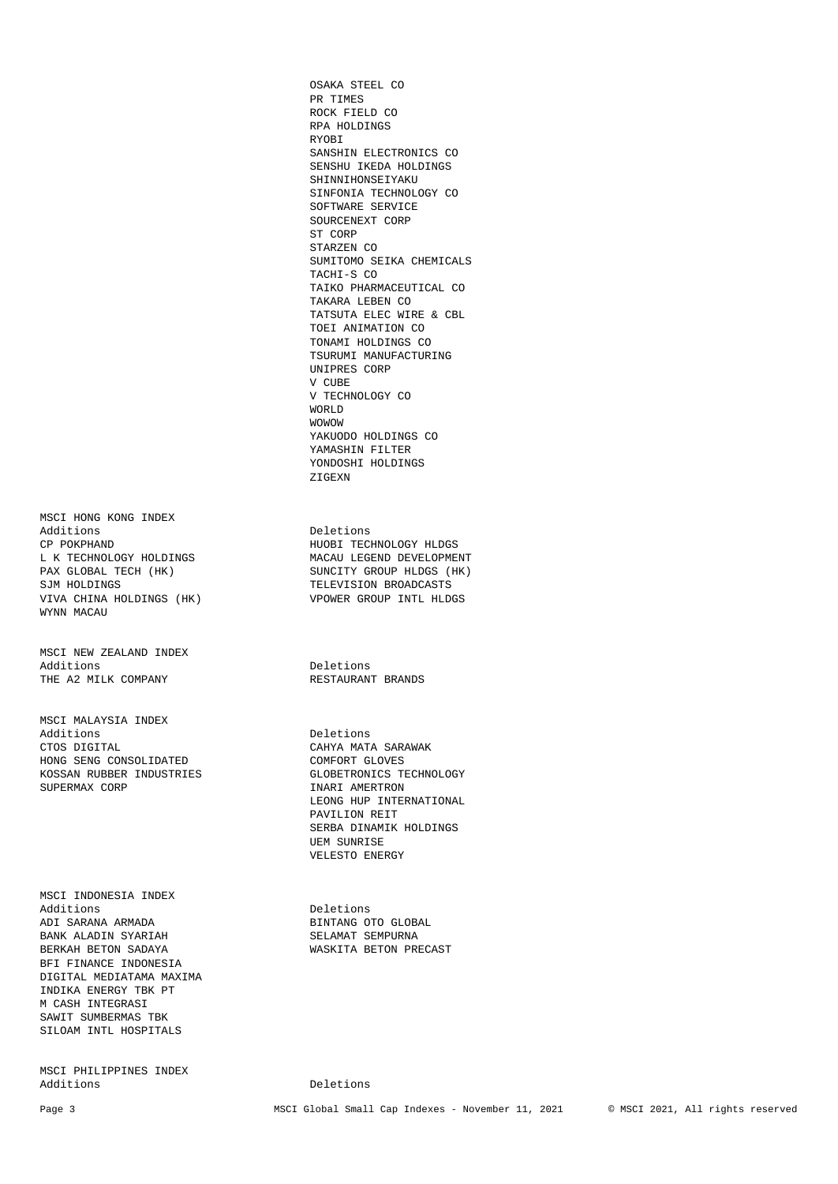MSCI HONG KONG INDEX<br>Additions Additions Deletions Deletions Deletions Deletions Deletions Deletions Deletions Deletions Deletions Deletions D VIVA CHINA HOLDINGS (HK) VPOWER GROUP INTL HLDGS WYNN MACAU

MSCI NEW ZEALAND INDEX Additions<br>THE A2 MILK COMPANY THE AT RESTAURANT BRANDS THE A2 MILK COMPANY

MSCI MALAYSIA INDEX Additions Deletions Deletions<br>CTOS DIGITAL CAHYA MAT. HONG SENG CONSOLIDATED COMFORT GLOVES KOSSAN RUBBER INDUSTRIES GLOBETRONICS TECHNOLOGY SUPERMAX CORP **INARI AMERTRON** 

MSCI INDONESIA INDEX Additions Deletions ADI SARANA ARMADA BINTANG OTO GLOBAL BANK ALADIN SYARIAH SELAMAT SEMPURNA BANK ALADIN SYARIAH BERKAH BETON SADAYA WASKITA BETON PRECAST BFI FINANCE INDONESIA DIGITAL MEDIATAMA MAXIMA INDIKA ENERGY TBK PT M CASH INTEGRASI SAWIT SUMBERMAS TBK SILOAM INTL HOSPITALS

MSCI PHILIPPINES INDEX

 OSAKA STEEL CO PR TIMES ROCK FIELD CO RPA HOLDINGS RYOBI SANSHIN ELECTRONICS CO SENSHU IKEDA HOLDINGS SHINNIHONSEIYAKU SINFONIA TECHNOLOGY CO SOFTWARE SERVICE SOURCENEXT CORP ST CORP STARZEN CO SUMITOMO SEIKA CHEMICALS TACHI-S CO TAIKO PHARMACEUTICAL CO TAKARA LEBEN CO TATSUTA ELEC WIRE & CBL TOEI ANIMATION CO TONAMI HOLDINGS CO TSURUMI MANUFACTURING UNIPRES CORP V CUBE V TECHNOLOGY CO WORLD WOWOW YAKUODO HOLDINGS CO YAMASHIN FILTER YONDOSHI HOLDINGS

HUOBI TECHNOLOGY HLDGS L K TECHNOLOGY HOLDINGS MACAU LEGEND DEVELOPMENT PAX GLOBAL TECH (HK) SUNCITY GROUP HLDGS (HK) SUNCITY GROUP HLDGS (HK) TELEVISION BROADCASTS

ZIGEXN

CAHYA MATA SARAWAK LEONG HUP INTERNATIONAL PAVILION REIT SERBA DINAMIK HOLDINGS UEM SUNRISE VELESTO ENERGY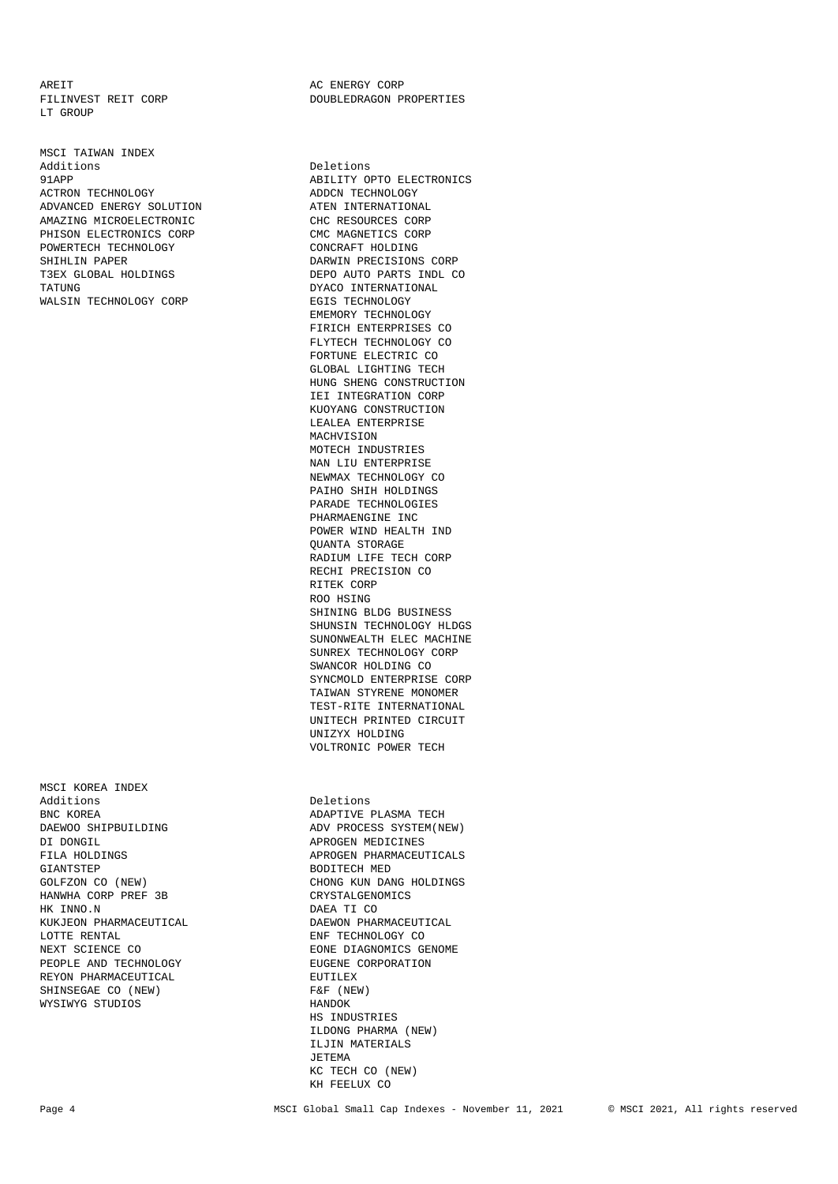AREIT THE RESERCY CORP TILINVEST REIT CORP THE RESERCT ON PROBLED RAGON PLACE TO A LOCAL CORP LT GROUP

MSCI TAIWAN INDEX<br>Additions Additions Deletions Deletions Deletions ACTRON TECHNOLOGY ADVANCED ENERGY SOLUTION ATEN INTERNATIONAL AMAZING MICROELECTRONIC<br>
PHISON ELECTRONICS CORP<br>
CMC MAGNETICS CORP PHISON ELECTRONICS CORP POWERTECH TECHNOLOGY CONCRAFT HOLDING SHIHLIN PAPER T3EX GLOBAL HOLDINGS DEPO AUTO PARTS INDL CO TATUNG DYACO INTERNATIONAL WALSIN TECHNOLOGY CORP EGIS TECHNOLOGY

MSCI KOREA INDEX BNC KOREA ADAPTIVE PLASMA TECH GIANTSTEP<br>GOLFZON CO (NEW) GOLFZON CHEW HANWHA CORP PREF 3B CRYSTALGENOMICS HK INNO.N DAEA TI CO KUKJEON PHARMACEUTICAL DAEWON PHARMACEUTICAL LOTTE RENTAL **ENF** TECHNOLOGY CO PEOPLE AND TECHNOLOGY REYON PHARMACEUTICAL **EUTILEX** SHINSEGAE CO (NEW) F&F (NEW) WYSIWYG STUDIOS HANDOK

DOUBLEDRAGON PROPERTIES

ABILITY OPTO ELECTRONICS<br>ADDCN TECHNOLOGY DARWIN PRECISIONS CORP EMEMORY TECHNOLOGY FIRICH ENTERPRISES CO FLYTECH TECHNOLOGY CO FORTUNE ELECTRIC CO GLOBAL LIGHTING TECH HUNG SHENG CONSTRUCTION IEI INTEGRATION CORP KUOYANG CONSTRUCTION LEALEA ENTERPRISE MACHVISION MOTECH INDUSTRIES NAN LIII ENTERPRISE NEWMAX TECHNOLOGY CO PAIHO SHIH HOLDINGS PARADE TECHNOLOGIES PHARMAENGINE INC POWER WIND HEALTH IND QUANTA STORAGE RADIUM LIFE TECH CORP RECHI PRECISION CO RITEK CORP ROO HSING SHINING BLDG BUSINESS SHUNSIN TECHNOLOGY HLDGS SUNONWEALTH ELEC MACHINE SUNREX TECHNOLOGY CORP SWANCOR HOLDING CO SYNCMOLD ENTERPRISE CORP TAIWAN STYRENE MONOMER TEST-RITE INTERNATIONAL UNITECH PRINTED CIRCUIT UNIZYX HOLDING VOLTRONIC POWER TECH Deletions DAEWOO SHIPBUILDING ADV PROCESS SYSTEM(NEW)<br>DI DONGIL APROGEN MEDICINES APROGEN MEDICINES FILA HOLDINGS APROGEN PHARMACEUTICALS CHONG KUN DANG HOLDINGS NEXT SCIENCE CO $$\tt EONE\ DIAGNMICS\$ GENOME PEOPLE AND TECHNOLOGY  $$\tt EUGENE\ CORPORTION$ 

 HS INDUSTRIES ILDONG PHARMA (NEW) ILJIN MATERIALS JETEMA KC TECH CO (NEW) KH FEELUX CO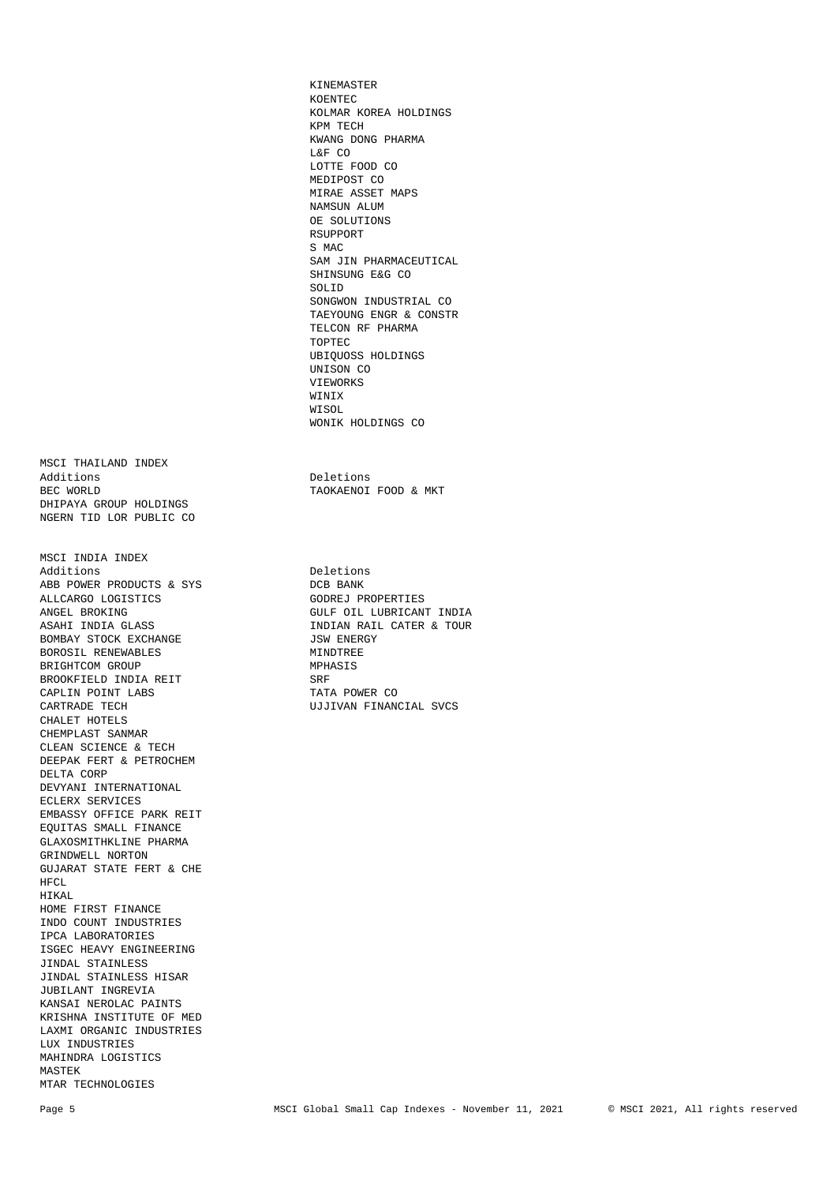MSCI THAILAND INDEX Additions Deletions Deletions Deletions Deletions Deletions Deletions Deletions Deletions Deletions Deletions D DHIPAYA GROUP HOLDINGS NGERN TID LOR PUBLIC CO

MSCI INDIA INDEX Additions<br>
ABB POWER PRODUCTS & SYS<br>
DCB BANK ABB POWER PRODUCTS & SYS ALLCARGO LOGISTICS GODREJ PROPERTIES<br>ANGEL BROKING GULF OIL LUBRICAN ANGEL BROKING GULF OIL LUBRICANT INDIA ASAHI INDIA GLASS STANDER ON THE SAME OF THE SAME OF THE SAME OF THE SAME OF THE SAME OF THE SAME OF THE SAME OF THE SAME OF THE SAME OF THE SAME OF THE SAME OF THE SAME OF THE SAME O BOMBAY STOCK EXCHANGE BOROSIL RENEWABLES MINDTREE BRIGHTCOM GROUP<br>BROOKFIELD INDIA REIT SRFS SRF BROOKFIELD INDIA REIT CAPLIN POINT LABS TATA POWER CONTRADE TECH SALE AND TATA POWER CONTRANS CHALET HOTELS CHEMPLAST SANMAR CLEAN SCIENCE & TECH DEEPAK FERT & PETROCHEM DELTA CORP DEVYANI INTERNATIONAL ECLERX SERVICES EMBASSY OFFICE PARK REIT EQUITAS SMALL FINANCE GLAXOSMITHKLINE PHARMA GRINDWELL NORTON GUJARAT STATE FERT & CHE HFCL. HIKAL HOME FIRST FINANCE INDO COUNT INDUSTRIES IPCA LABORATORIES ISGEC HEAVY ENGINEERING JINDAL STAINLESS JINDAL STAINLESS HISAR JUBILANT INGREVIA KANSAI NEROLAC PAINTS KRISHNA INSTITUTE OF MED LAXMI ORGANIC INDUSTRIES LUX INDUSTRIES MAHINDRA LOGISTICS MASTEK MTAR TECHNOLOGIES

 KINEMASTER KOENTEC KOLMAR KOREA HOLDINGS KPM TECH KWANG DONG PHARMA L&F CO LOTTE FOOD CO MEDIPOST CO MIRAE ASSET MAPS NAMSUN ALUM OE SOLUTIONS RSUPPORT S MAC SAM JIN PHARMACEUTICAL SHINSUNG E&G CO SOLID SONGWON INDUSTRIAL CO TAEYOUNG ENGR & CONSTR TELCON RF PHARMA TOPTEC UBIQUOSS HOLDINGS UNISON CO VIEWORKS WINIX WISOL WISOL WONIK HOLDINGS CO

TAOKAENOI FOOD & MKT

INDIAN RAIL CATER & TOUR<br>JSW ENERGY UJJIVAN FINANCIAL SVCS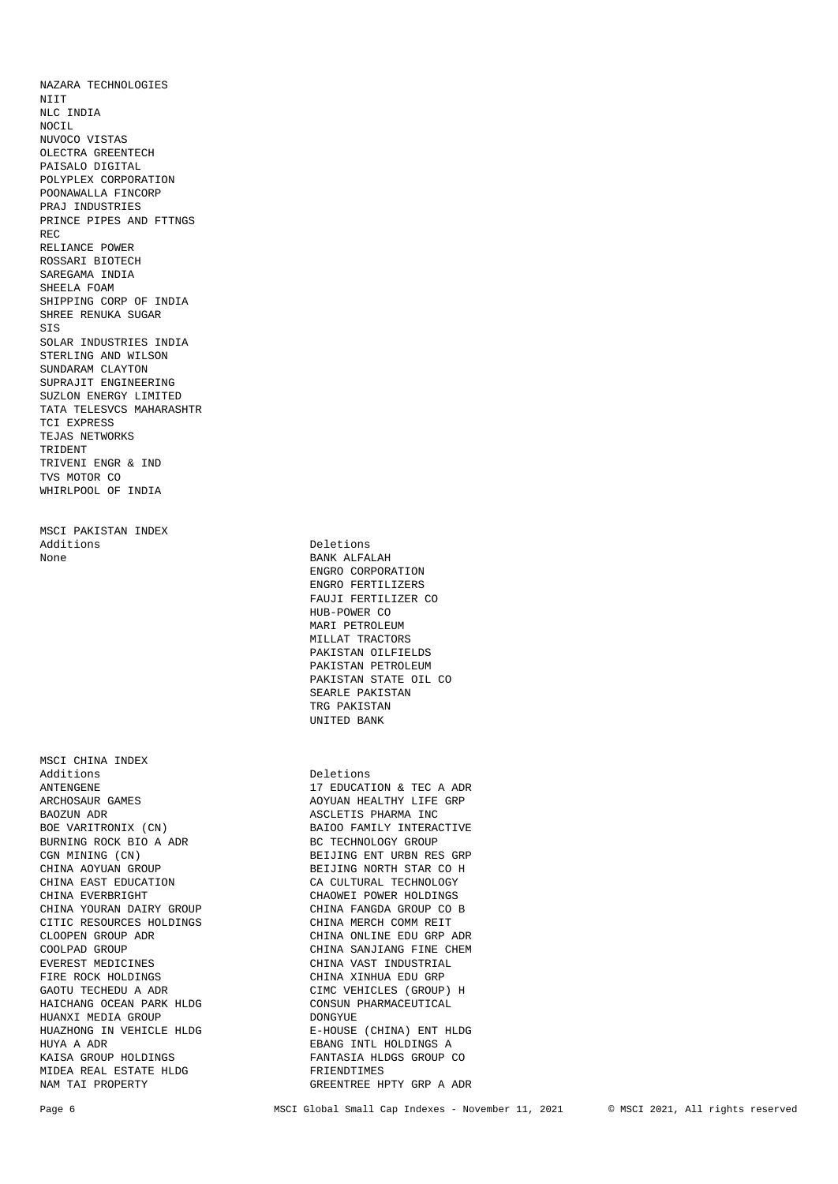NTTT NLC INDIA NOCIL NUVOCO VISTAS OLECTRA GREENTECH PAISALO DIGITAL POLYPLEX CORPORATION POONAWALLA FINCORP PRAJ INDUSTRIES PRINCE PIPES AND FTTNGS REC RELIANCE POWER ROSSARI BIOTECH SAREGAMA INDIA SHEELA FOAM SHIPPING CORP OF INDIA SHREE RENUKA SUGAR SIS SOLAR INDUSTRIES INDIA STERLING AND WILSON SUNDARAM CLAYTON SUPRAJIT ENGINEERING SUZLON ENERGY LIMITED TATA TELESVCS MAHARASHTR TCI EXPRESS TEJAS NETWORKS TRIDENT TRIVENI ENGR & IND TVS MOTOR CO WHIRLPOOL OF INDIA MSCI PAKISTAN INDEX Additions Deletions None BANK ALFALAH MSCI CHINA INDEX Additions Deletions ANTENGENE 17 EDUCATION & TEC A ADR ARCHOSAUR GAMES AND ANNOUNCED ACTUAL ACTION AND ANNOUNCED ASSESSMENT AND A LIFE GRP BAOZUN ADR **ASCLETIS PHARMA INC.** BOE VARITRONIX (CN) BAIOO FAMILY INTERACTIVE BURNING ROCK BIO A ADR BURNING ROCK BIO A ADR CGN MINING (CN) BEIJING ENT URBN RES GRP CHINA AOYUAN GROUP CHINA AOYUAN GROUP<br>CHINA EAST EDUCATION CA CULTURAL TECHNOLOGY CHINA EVERBRIGHT CHAOWEI POWER HOLDINGS CHINA YOURAN DAIRY GROUP CHINA FANGDA GROUP CO B CITIC RESOURCES HOLDINGS CHINA MERCH COMM REIT CLOOPEN GROUP ADR CHINA ONLINE EDU GRP ADR COOLPAD GROUP CHINA SANJIANG FINE CHEM EVEREST MEDICINES CHINA VAST INDUSTRIAL FIRE ROCK HOLDINGS THE CHINA XINHUA EDU GRP GAOTU TECHEDU A ADR CIMC VEHICLES (GROUP) H HAICHANG OCEAN PARK HLDG CONSUN PHARMACEUTICAL HUANXI MEDIA GROUP DONGYUE HUAZHONG IN VEHICLE HLDG E-HOUSE (CHINA) ENT HLDG HUYA A ADR EBANG INTL HOLDINGS A KAISA GROUP HOLDINGS **FANTASIA HLDGS GROUP CO** 

NAZARA TECHNOLOGIES

 ENGRO CORPORATION ENGRO FERTILIZERS FAUJI FERTILIZER CO HUB-POWER CO MARI PETROLEUM MILLAT TRACTORS PAKISTAN OILFIELDS PAKISTAN PETROLEUM PAKISTAN STATE OIL CO SEARLE PAKISTAN TRG PAKISTAN UNITED BANK

AOYUAN HEALTHY LIFE GRP CA CULTURAL TECHNOLOGY MIDEA REAL ESTATE HLDG FRIENDTIMES GREENTREE HPTY GRP A ADR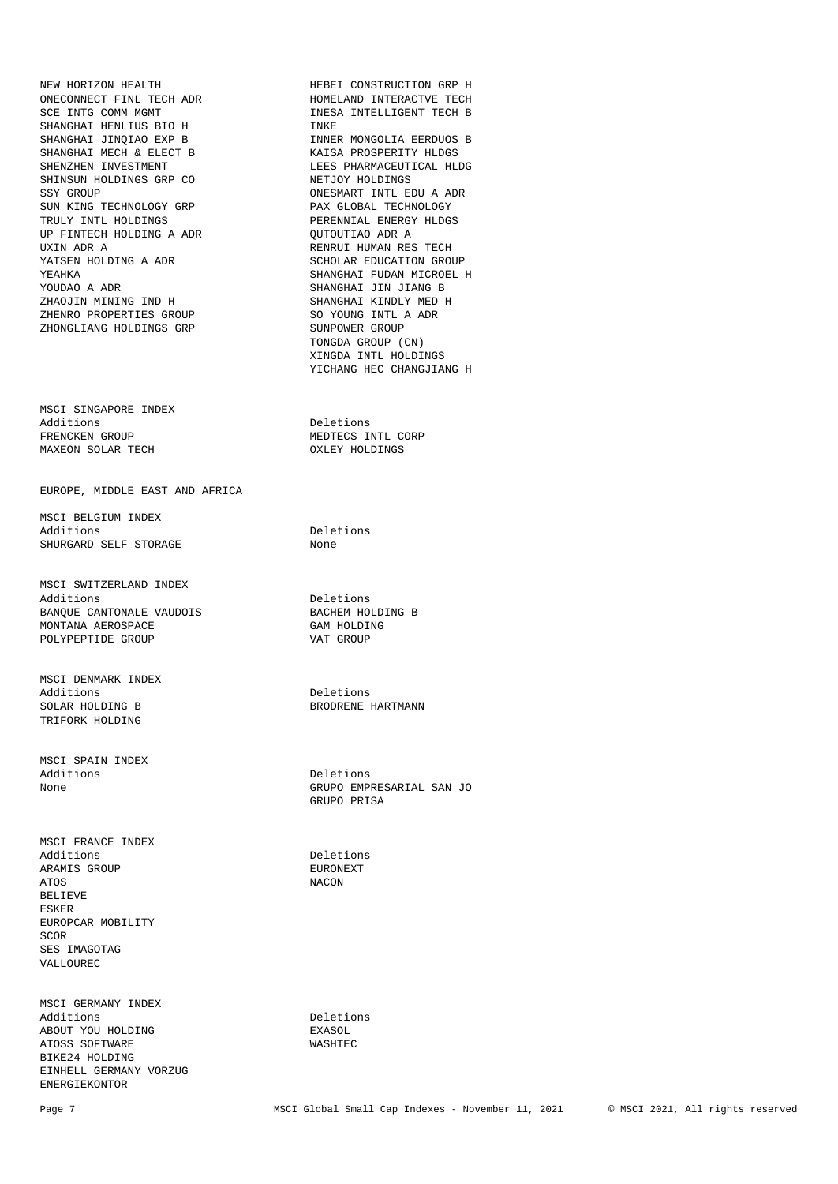NEW HORIZON HEALTH HEBEI CONSTRUCTION GRP H ONECONNECT FINL TECH ADR SCE INTG COMM MGMT INESA INTELLIGENT TECH B SHANGHAI HENLIUS BIO H SHANGHAI JINQIAO EXP B INNER MONGOLIA EERDUOS B SHANGHAI MECH & ELECT B KAISA PROSPERITY HLDGS SHINSUN HOLDINGS GRP CO<br>SSY GROUP SUN KING TECHNOLOGY GRP PAX GLOBAL TECHNOLOGY TRULY INTL HOLDINGS PERENNIAL ENERGY HLDGS UP FINTECH HOLDING A ADR UXIN ADR A<br>
YATSEN HOLDING A ADR<br>
YATSEN HOLDING A ADR<br>
SCHOLAR EDUCATION GRO YEAHKA SHANGHAI FUDAN MICROEL H YOUDAO A ADR SHANGHAI JIN JIANG B ZHAOJIN MINING IND H SHANGHAI KINDLY MED H SHENRO PROPERTIES GROUP SO YOUNG INTL A ADR ZHENRO PROPERTIES GROUP<br>ZHONGLIANG HOLDINGS GRP SUNPOWER GROUP ZHONGLIANG HOLDINGS GRP

MSCI SINGAPORE INDEX Additions Deletions FRENCKEN GROUP MEDTECS INTL CORP MAXEON SOLAR TECH

EUROPE, MIDDLE EAST AND AFRICA

MSCI BELGIUM INDEX<br>Additions SHURGARD SELF STORAGE

MSCI SWITZERLAND INDEX Additions<br>
BANOUE CANTONALE VAUDOIS<br>
BACHEM HOLDING B BANQUE CANTONALE VAUDOIS BACHEM HOLDING B MONTANA AEROSPACE GAM HOLDING GAM HOLDING GAM HOLDING GROUP POLYPEPTIDE GROUP

MSCI DENMARK INDEX Additions Deletions SOLAR HOLDING B BRODRENE HARTMANN TRIFORK HOLDING

MSCI SPAIN INDEX Additions Deletions

MSCI FRANCE INDEX Additions Deletions ARAMIS GROUP **EURONEY A TOO SECULAR EURONE** ATOS NACON BELIEVE ESKER EUROPCAR MOBILITY SCOR SES IMAGOTAG VALLOUREC

MSCI GERMANY INDEX Additions Deletions ABOUT YOU HOLDING EXASOL ATOSS SOFTWARE WASHTEC BIKE24 HOLDING EINHELL GERMANY VORZUG ENERGIEKONTOR

LEES PHARMACEUTICAL HLDG<br>NETJOY HOLDINGS ONESMART INTL EDU A ADR SCHOLAR EDUCATION GROUP TONGDA GROUP (CN) XINGDA INTL HOLDINGS YICHANG HEC CHANGJIANG H

Deletions<br>None

None GRUPO EMPRESARIAL SAN JO GRUPO PRISA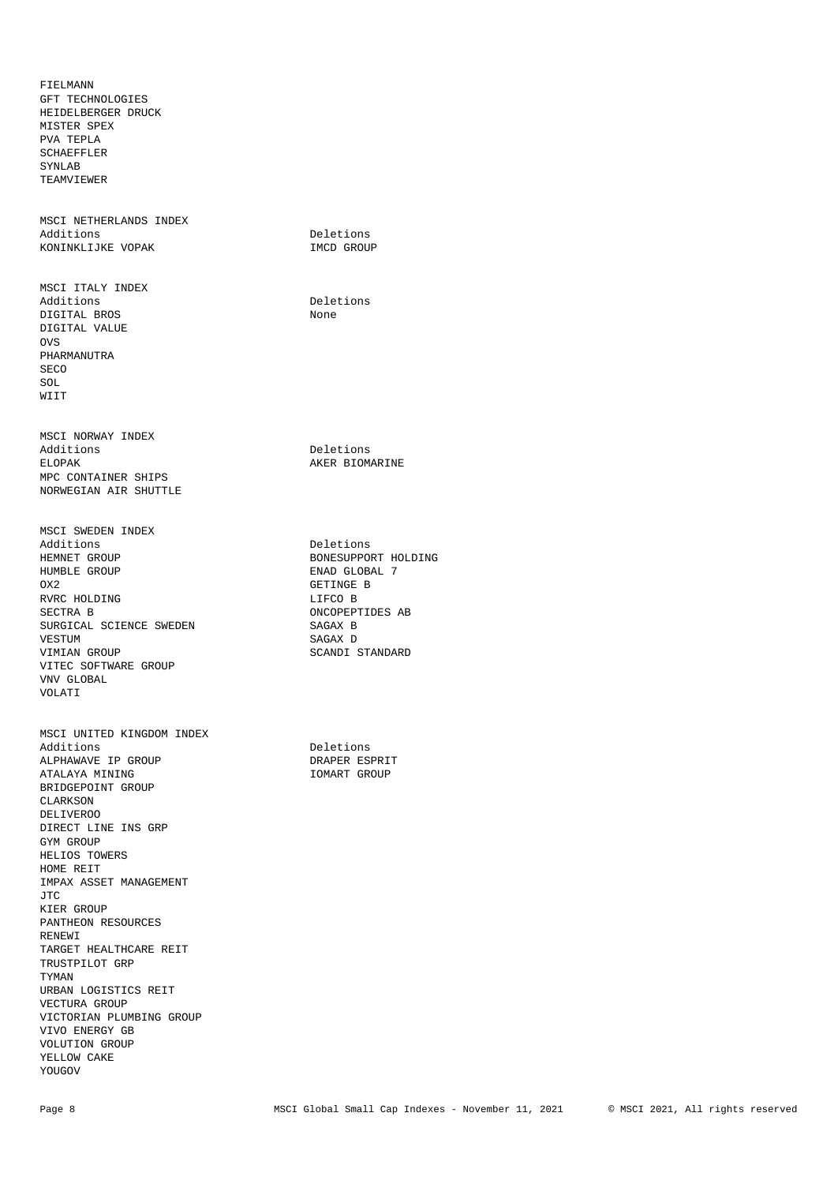MSCI UNITED KINGDOM INDEX Additions Deletions ALPHAWAVE IP GROUP DRAPER ESPRIT ATALAYA MINING BRIDGEPOINT GROUP CLARKSON DELIVEROO DIRECT LINE INS GRP GYM GROUP HELIOS TOWERS HOME REIT IMPAX ASSET MANAGEMENT JTC KIER GROUP PANTHEON RESOURCES RENEWI TARGET HEALTHCARE REIT TRUSTPILOT GRP TYMAN URBAN LOGISTICS REIT VECTURA GROUP VICTORIAN PLUMBING GROUP VIVO ENERGY GB VOLUTION GROUP YELLOW CAKE YOUGOV

MSCI SWEDEN INDEX<br>Additions HEMNET GROUP BONESUPPORT HOLDING HUMBLE GROUP GLOBAL 7 CX2 RVRC HOLDING LIFCO B SURGICAL SCIENCE SWEDEN SAGAX B<br>VESTUM SAGAX D VIMIAN GROUP SCANDI STANDARD VITEC SOFTWARE GROUP VNV GLOBAL VOLATI

MSCI NORWAY INDEX ELOPAK **AKER BIOMARINE** MPC CONTAINER SHIPS NORWEGIAN AIR SHUTTLE

MSCI ITALY INDEX Additions Deletions Deletions Deletions Deletions Deletions Deletions Deletions Deletions Deletions Deletions D DIGITAL BROS DIGITAL VALUE OVS PHARMANUTRA SECO SOL WIIT

MSCI NETHERLANDS INDEX<br>Additions KONINKLIJKE VOPAK 1MCD GROUP

FIELMANN GFT TECHNOLOGIES HEIDELBERGER DRUCK MISTER SPEX PVA TEPLA SCHAEFFLER SYNLAB TEAMVIEWER

Deletions

Deletions

Deletions GETINGE B ONCOPEPTIDES AB SAGAX D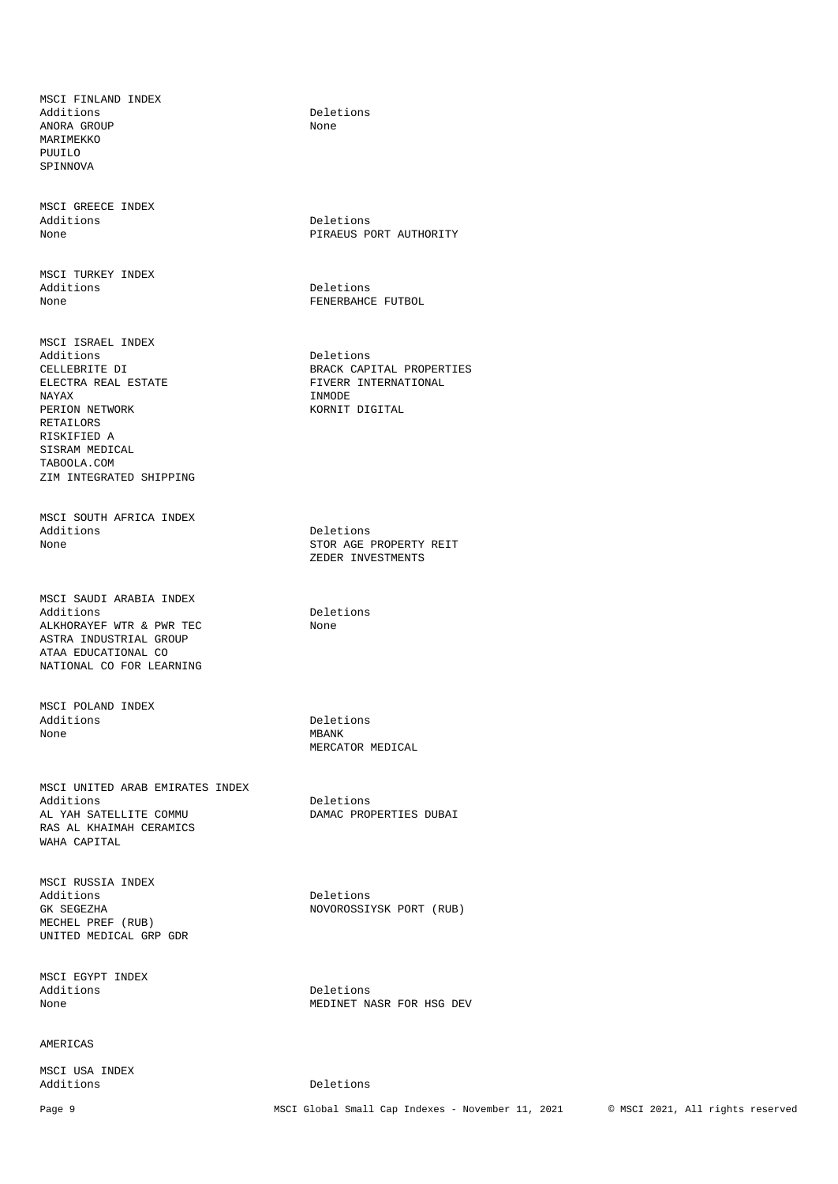MSCI FINLAND INDEX Additions Deletions Deletions<br>ANORA GROUP Mone ANORA GROUP MAR TMEKKO PUUILO SPINNOVA

MSCI GREECE INDEX Additions Deletions Deletions Deletions Deletions Deletions Deletions Deletions Deletions Deletions Deletions D

MSCI TURKEY INDEX Additions Deletions

MSCI ISRAEL INDEX Additions Deletions ELECTRA REAL ESTATE FIVERR INTERNATIONAL RAYAX PERION NETWORK KORNIT DIGITAL RETAILORS RISKIFIED A SISRAM MEDICAL TABOOLA.COM ZIM INTEGRATED SHIPPING

MSCI SOUTH AFRICA INDEX<br>Additions Additions Deletions Deletions Deletions and Deletions Deletions of the Deletions of the Deletions of the Deletions of the Deletions of the Deletions of the Deletions of the Deletions of the Deletions of the Deletions of th

MSCI SAUDI ARABIA INDEX ALKHORAYEF WTR & PWR TEC None ASTRA INDUSTRIAL GROUP ATAA EDUCATIONAL CO NATIONAL CO FOR LEARNING

MSCI POLAND INDEX Additions Deletions Deletions<br>
None MBANK None MBANK

MSCI UNITED ARAB EMIRATES INDEX Additions Deletions<br>AL YAH SATELLITE COMMU DAMAC PROJ RAS AL KHAIMAH CERAMICS WAHA CAPITAL

MSCI RUSSIA INDEX Additions Deletions MECHEL PREF (RUB) UNITED MEDICAL GRP GDR

MSCI EGYPT INDEX

### **AMERICAS**

MSCI USA INDEX

PIRAEUS PORT AUTHORITY

None FENERBAHCE FUTBOL

CELLEBRITE DI BRACK CAPITAL PROPERTIES INMODE

> STOR AGE PROPERTY REIT ZEDER INVESTMENTS

Deletions

MERCATOR MEDICAL

DAMAC PROPERTIES DUBAI

GK SEGEZHA NOVOROSSIYSK PORT (RUB)

Deletions None MEDINET NASR FOR HSG DEV

Deletions

Page 9 MSCI Global Small Cap Indexes - November 11, 2021 © MSCI 2021, All rights reserved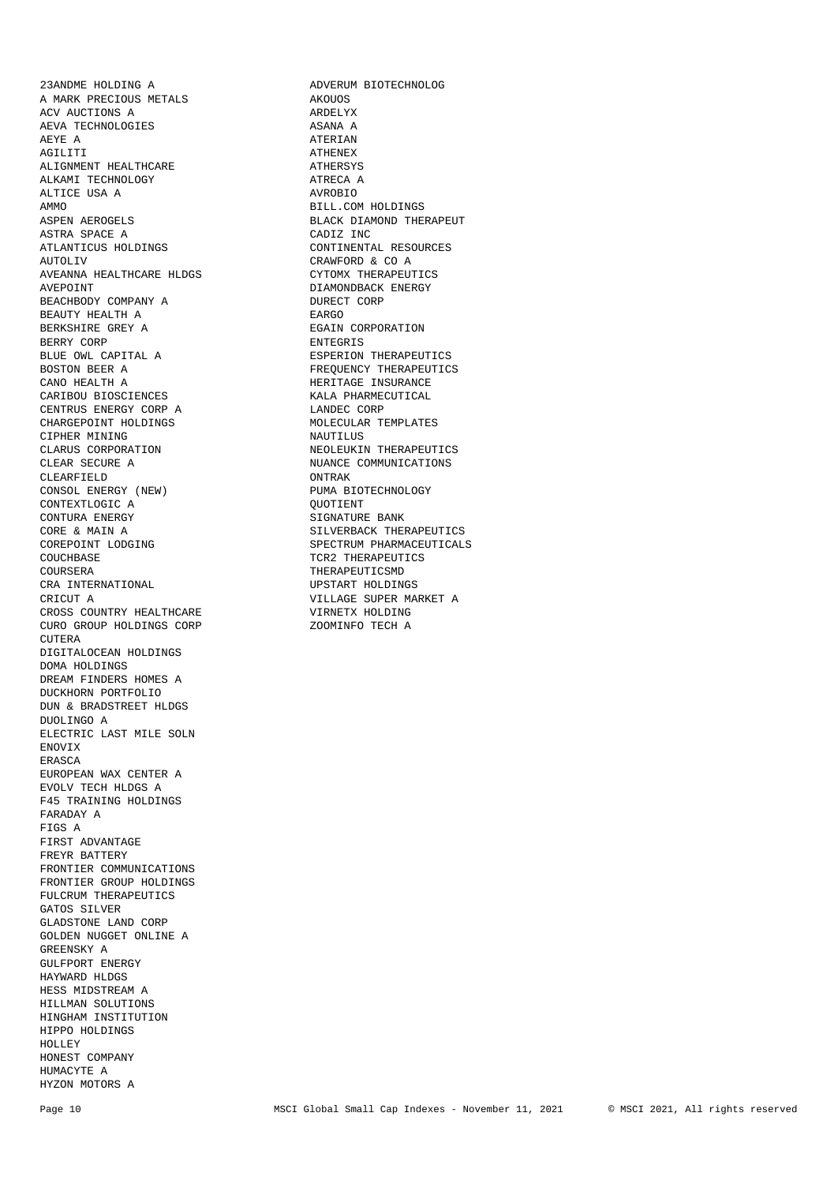23ANDME HOLDING A **ADVERUM BIOTECHNOLOG**<br>A MARK PRECTOUS METALS AROUGS A MARK PRECIOUS METALS ACV AUCTIONS A ARDELYX ARDELYX ASANA A ARDELYX AEVA TECHNOLOGIES AEYE A ATERIAN AGILITI ATHENEX ALIGNMENT HEALTHCARE ALKAMI TECHNOLOGY ATRECA A ALTICE USA A AMMO BILL.COM HOLDINGS ASPEN AEROGELS SASPEN BLACK DIAMOND THE SASPEN ARROWSED AS A SERIES OF SALES AND MALL SASPEN ASSESSMENT OF SALES AND MALL SALES AND MALL SALES AND MALL SALES AND MALL SALES AND MALL SALES AND MALL SA ASTRA SPACE A ATLANTICUS HOLDINGS  $\begin{array}{ccc} \texttt{CONTIMENTAL} & \texttt{RES} \\ \texttt{AUTOLIV} & \texttt{CRAWFORD} & \texttt{C} & \texttt{A} \end{array}$ AVEANNA HEALTHCARE HLDGS CYTOMX THERAPEUTICS AVEPOINT DIAMONDBACK ENERGY BEACHBODY COMPANY A DURECT CORP BEAUTY HEALTH A<br>BERKSHIRE GREY A BERRY CORP **ENTEGRIS** BLUE OWL CAPITAL A **ESPERION THERAPEUTICS** BOSTON BEER A FREQUENCY THERAPEUTICS CANO HEALTH A FREQUENCY THERAPEUTICS CARIBOU BIOSCIENCES CENTRUS ENERGY CORP A LANDEC CORP CHARGEPOINT HOLDINGS MOLECULAR TEMPLATES CHARGEPOINT HOLDINGS CIPHER MINING NAUTILUS CLARUS CORPORATION NEOLEUKIN THERAPEUTICS CLEAR SECURE A NUANCE COMMUNICATIONS CLEARFIELD ONTRAK CONSOL ENERGY (NEW) PUMA BIOTECHNOLOGY CONTEXTLOGIC A QUOTIENT CONTEXTLOGIC A QUOTIENT CORE & MAIN A SILVERBACK THERAPEUTICS<br>
COREPOINT LODGING SPECTRUM PHARMACEUTICAL COUCHBASE COUCHBASE COULD COULD TO THE COULD A THERAPEUTICS COURSERA THERAPEUTICSMD<br>
CRA INTERNATIONAL UPSTART HOLDINGS CRA INTERNATIONAL CRICUT A VILLAGE SUPER MARKET A CROSS COUNTRY HEALTHCARE CURO GROUP HOLDINGS CORP TECH A CUTERA DIGITALOCEAN HOLDINGS DOMA HOLDINGS DREAM FINDERS HOMES A DUCKHORN PORTFOLIO DUN & BRADSTREET HLDGS DUOLINGO A ELECTRIC LAST MILE SOLN ENOVIX ERASCA EUROPEAN WAX CENTER A EVOLV TECH HLDGS A F45 TRAINING HOLDINGS FARADAY A FIGS A FIRST ADVANTAGE FREYR BATTERY FRONTIER COMMUNICATIONS FRONTIER GROUP HOLDINGS FULCRUM THERAPEUTICS GATOS SILVER GLADSTONE LAND CORP GOLDEN NUGGET ONLINE A GREENSKY A GULFPORT ENERGY HAYWARD HLDGS HESS MIDSTREAM A HILLMAN SOLUTIONS HINGHAM INSTITUTION HIPPO HOLDINGS HOLLEY HONEST COMPANY HUMACYTE A HYZON MOTORS A

BLACK DIAMOND THERAPEUT<br>CADIZ INC CRAWFORD & CO A EGAIN CORPORATION HERITAGE INSURANCE<br>KALA PHARMECUTICAL SIGNATURE BANK SPECTRUM PHARMACEUTICALS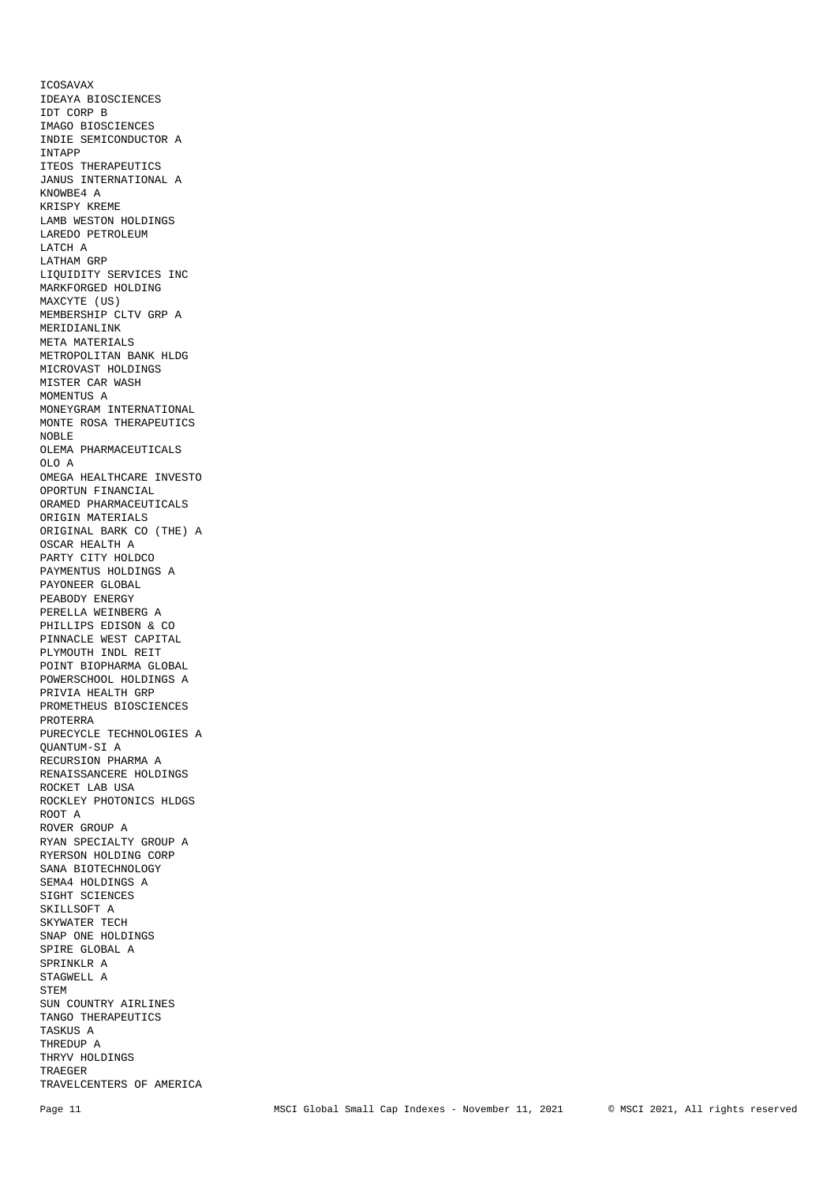ICOSAVAX IDEAYA BIOSCIENCES IDT CORP B IMAGO BIOSCIENCES INDIE SEMICONDUCTOR A INTAPP ITEOS THERAPEUTICS JANUS INTERNATIONAL A KNOWBE4 A KRISPY KREME LAMB WESTON HOLDINGS LAREDO PETROLEUM LATCH A LATHAM GRP LIQUIDITY SERVICES INC MARKFORGED HOLDING MAXCYTE (US) MEMBERSHIP CLTV GRP A MERIDIANLINK META MATERIALS METROPOLITAN BANK HLDG MICROVAST HOLDINGS MISTER CAR WASH MOMENTUS A MONEYGRAM INTERNATIONAL MONTE ROSA THERAPEUTICS NOBLE OLEMA PHARMACEUTICALS OLO A OMEGA HEALTHCARE INVESTO OPORTUN FINANCIAL ORAMED PHARMACEUTICALS ORIGIN MATERIALS ORIGINAL BARK CO (THE) A OSCAR HEALTH A PARTY CITY HOLDCO PAYMENTUS HOLDINGS A PAYONEER GLOBAL PEABODY ENERGY PERELLA WEINBERG A PHILLIPS EDISON & CO PINNACLE WEST CAPITAL PLYMOUTH INDL REIT POINT BIOPHARMA GLOBAL POWERSCHOOL HOLDINGS A PRIVIA HEALTH GRP PROMETHEUS BIOSCIENCES PROTERRA PURECYCLE TECHNOLOGIES A QUANTUM-SI A RECURSION PHARMA A RENAISSANCERE HOLDINGS ROCKET LAB USA ROCKLEY PHOTONICS HLDGS ROOT A ROVER GROUP A RYAN SPECIALTY GROUP A RYERSON HOLDING CORP SANA BIOTECHNOLOGY SEMA4 HOLDINGS A SIGHT SCIENCES SKILLSOFT A SKYWATER TECH SNAP ONE HOLDINGS SPIRE GLOBAL A SPRINKLR A STAGWELL A STEM SUN COUNTRY AIRLINES TANGO THERAPEUTICS TASKUS A THREDUP A THRYV HOLDINGS TRAEGER TRAVELCENTERS OF AMERICA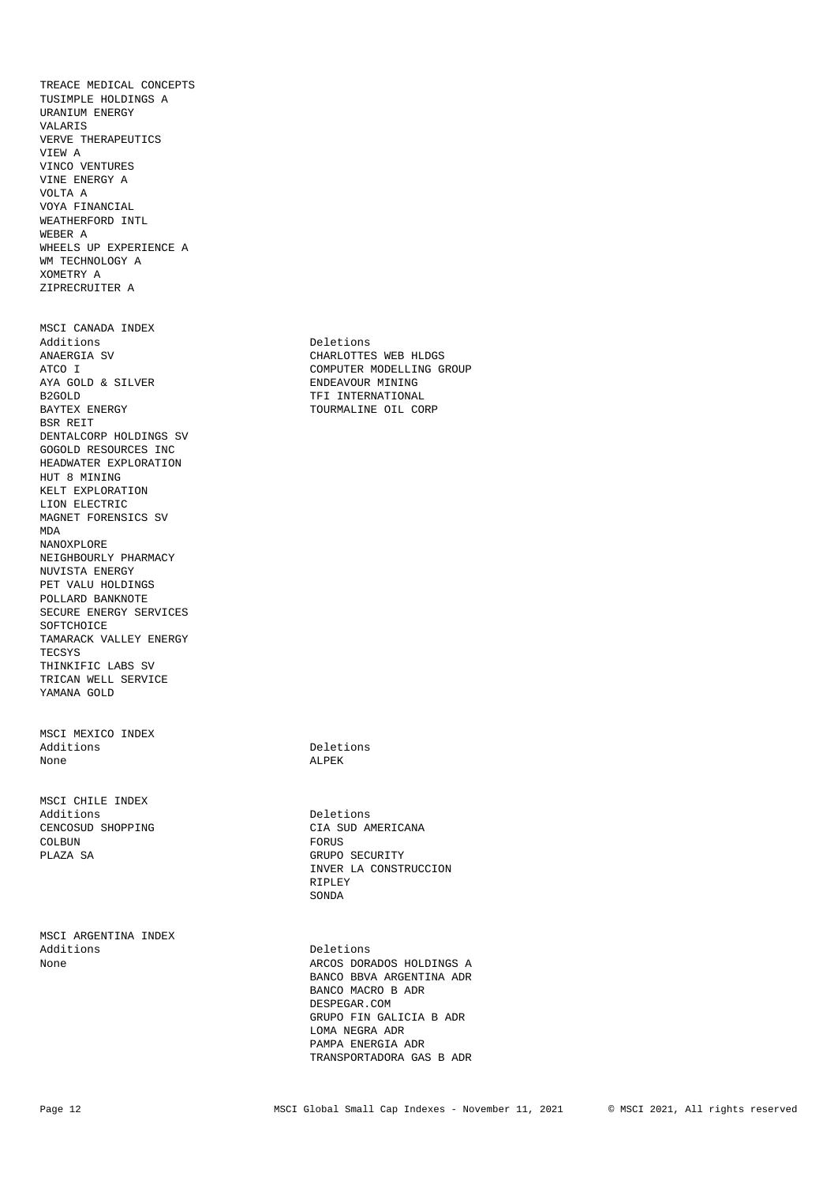TREACE MEDICAL CONCEPTS TUSIMPLE HOLDINGS A URANIUM ENERGY VALARIS VERVE THERAPEUTICS VIEW A VINCO VENTURES VINE ENERGY A VOLTA A VOYA FINANCIAL WEATHERFORD INTL WEBER A WHEELS UP EXPERIENCE A WM TECHNOLOGY A XOMETRY A ZIPRECRUITER A MSCI CANADA INDEX Additions Deletions ANAERGIA SV CHARLOTTES WEB HLDGS ATCO I COMPUTER MODELLING GROUP AYA GOLD & SILVER STRAIN SENDER ENDEAVOUR MINING AYA GOLD & SILVER ENDEAVOUR MINING RESOLD THE TREENATIONAL TREENATION ASSAULT TREENATION ASSAULT TREENATION ASSAULT TREENATION ASSAULT TREENATION ASSAULT TREENATION ASSAULT TREENATION ASSAULT TREENATION ASSAULT TREENATION BAYTEX ENERGY **TOURMALINE OIL CORP** BSR REIT DENTALCORP HOLDINGS SV GOGOLD RESOURCES INC HEADWATER EXPLORATION HUT 8 MINING KELT EXPLORATION LION ELECTRIC MAGNET FORENSICS SV MDA NANOXPLORE NEIGHBOURLY PHARMACY NUVISTA ENERGY PET VALU HOLDINGS POLLARD BANKNOTE SECURE ENERGY SERVICES

SOFTCHOICE TAMARACK VALLEY ENERGY TECSYS THINKIFIC LABS SV TRICAN WELL SERVICE YAMANA GOLD

MSCI MEXICO INDEX None and a set of the account of the ALPEK

MSCI CHILE INDEX<br>Additions CENCOSUD SHOPPING CIA SUD AMERICANA COLBUN COLBUN PLAZA SA GRUPO SECURITY

MSCI ARGENTINA INDEX<br>Additions Additions Deletions Deletions Deletions ARCOS

TFI INTERNATIONAL

Deletions

Additions Deletions INVER LA CONSTRUCCION<br>RIPLEY RIPLEY **RIPLEY** SONDA

> ARCOS DORADOS HOLDINGS A BANCO BBVA ARGENTINA ADR BANCO MACRO B ADR DESPEGAR.COM GRUPO FIN GALICIA B ADR LOMA NEGRA ADR PAMPA ENERGIA ADR TRANSPORTADORA GAS B ADR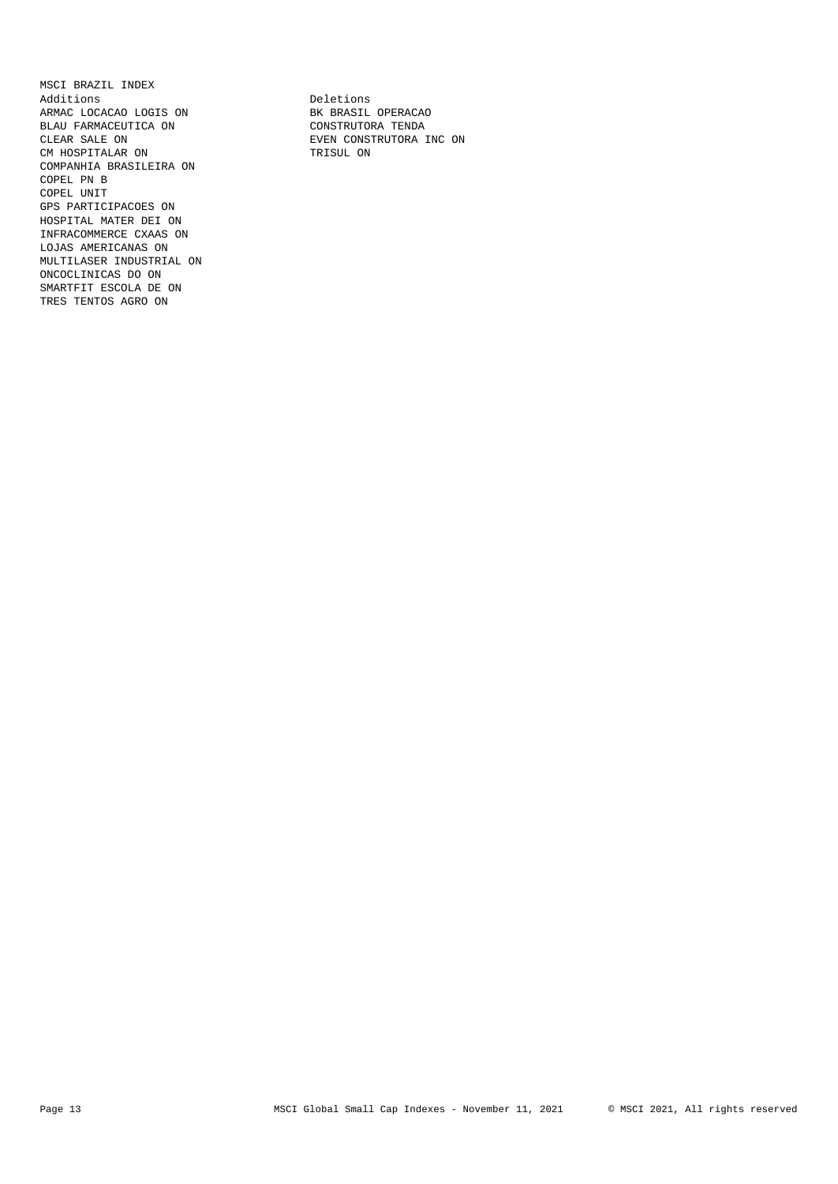MSCI BRAZIL INDEX Additions **Deletions** ARMAC LOCACAO LOGIS ON BK BRASIL OPERACAO BLAU FARMACEUTICA ON CONSTRUTORA TENDA CLEAR SALE ON EVEN CONSTRUTORA INC ON CM HOSPITALAR ON TRISUL ON COMPANHIA BRASILEIRA ON COPEL PN B COPEL UNIT GPS PARTICIPACOES ON HOSPITAL MATER DEI ON INFRACOMMERCE CXAAS ON LOJAS AMERICANAS ON MULTILASER INDUSTRIAL ON ONCOCLINICAS DO ON SMARTFIT ESCOLA DE ON TRES TENTOS AGRO ON